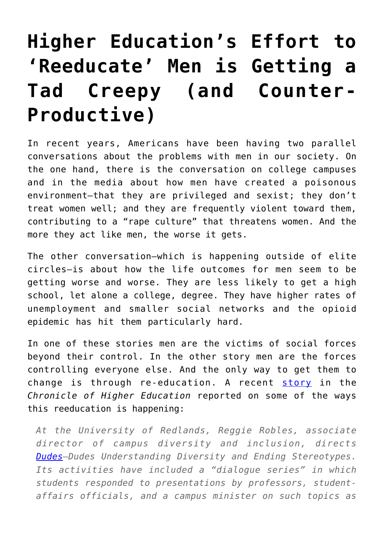## **[Higher Education's Effort to](https://intellectualtakeout.org/2017/12/higher-educations-effort-to-reeducate-men-is-getting-a-tad-creepy-and-counter-productive/) ['Reeducate' Men is Getting a](https://intellectualtakeout.org/2017/12/higher-educations-effort-to-reeducate-men-is-getting-a-tad-creepy-and-counter-productive/) [Tad Creepy \(and Counter-](https://intellectualtakeout.org/2017/12/higher-educations-effort-to-reeducate-men-is-getting-a-tad-creepy-and-counter-productive/)[Productive\)](https://intellectualtakeout.org/2017/12/higher-educations-effort-to-reeducate-men-is-getting-a-tad-creepy-and-counter-productive/)**

In recent years, Americans have been having two parallel conversations about the problems with men in our society. On the one hand, there is the conversation on college campuses and in the media about how men have created a poisonous environment—that they are privileged and sexist; they don't treat women well; and they are frequently violent toward them, contributing to a "rape culture" that threatens women. And the more they act like men, the worse it gets.

The other conversation—which is happening outside of elite circles—is about how the life outcomes for men seem to be getting worse and worse. They are less likely to get a high school, let alone a college, degree. They have higher rates of unemployment and smaller social networks and the opioid epidemic has hit them particularly hard.

In one of these stories men are the victims of social forces beyond their control. In the other story men are the forces controlling everyone else. And the only way to get them to change is through re-education. A recent [story](https://www.chronicle.com/article/The-Fight-Against-Toxic/242017) in the *Chronicle of Higher Education* reported on some of the ways this reeducation is happening:

*At the University of Redlands, Reggie Robles, associate director of campus diversity and inclusion, directs [Dudes—](http://www.redlands.edu/student-affairs/campus-diversity-and-inclusion/programs/gender-programs/d.u.d.e.s/)Dudes Understanding Diversity and Ending Stereotypes. Its activities have included a "dialogue series" in which students responded to presentations by professors, studentaffairs officials, and a campus minister on such topics as*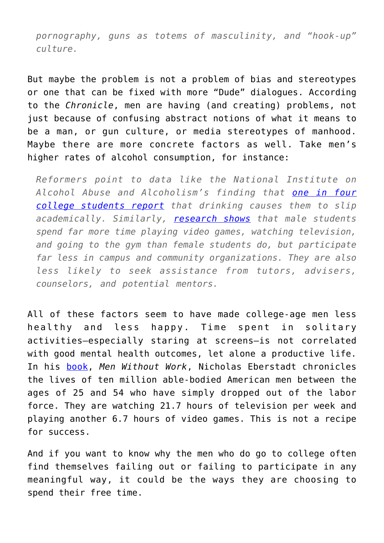*pornography, guns as totems of masculinity, and "hook-up" culture.*

But maybe the problem is not a problem of bias and stereotypes or one that can be fixed with more "Dude" dialogues. According to the *Chronicle*, men are having (and creating) problems, not just because of confusing abstract notions of what it means to be a man, or gun culture, or media stereotypes of manhood. Maybe there are more concrete factors as well. Take men's higher rates of alcohol consumption, for instance:

*Reformers point to data like the National Institute on Alcohol Abuse and Alcoholism's finding that [one in four](https://www.niaaa.nih.gov/alcohol-health/special-populations-co-occurring-disorders/college-drinking) [college students report](https://www.niaaa.nih.gov/alcohol-health/special-populations-co-occurring-disorders/college-drinking) that drinking causes them to slip academically. Similarly, [research shows](http://www.keithedwards.com/wp-content/uploads/2012/09/HarrisEdwards.pdf) that male students spend far more time playing video games, watching television, and going to the gym than female students do, but participate far less in campus and community organizations. They are also less likely to seek assistance from tutors, advisers, counselors, and potential mentors.*

All of these factors seem to have made college-age men less healthy and less happy. Time spent in solitary activities—especially staring at screens—is not correlated with good mental health outcomes, let alone a productive life. In his [book,](https://www.amazon.com/Men-Without-Work-Americas-Invisible/dp/1599474697) *Men Without Work*, Nicholas Eberstadt chronicles the lives of ten million able-bodied American men between the ages of 25 and 54 who have simply dropped out of the labor force. They are watching 21.7 hours of television per week and playing another 6.7 hours of video games. This is not a recipe for success.

And if you want to know why the men who do go to college often find themselves failing out or failing to participate in any meaningful way, it could be the ways they are choosing to spend their free time.